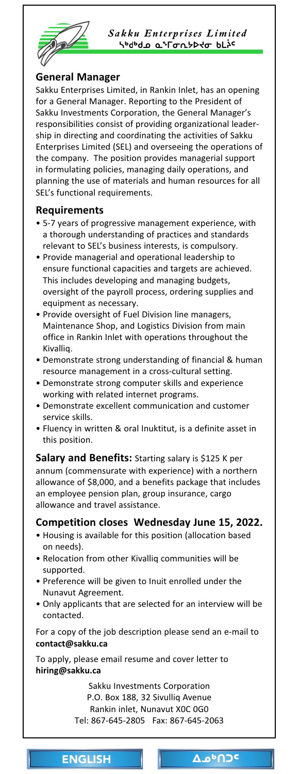<span id="page-0-0"></span>

Sakku Enterprises Limited **\**<sup>ь</sup>ძსძა ჲ°Гσռሃኦ∢σ ხLኦς

### **General Manager**

Sakku Enterprises Limited, in Rankin Inlet, has an opening for a General Manager. Reporting to the President of Sakku Investments Corporation, the General Manager's responsibilities consist of providing organizational leadership in directing and coordinating the activities of Sakku Enterprises Limited (SEL) and overseeing the operations of the company. The position provides managerial support in formulating policies, managing daily operations, and planning the use of materials and human resources for all SEL's functional requirements.

#### **Requirements**

- 5-7 years of progressive management experience, with a thorough understanding of practices and standards relevant to SEL's business interests, is compulsory.
- Provide managerial and operational leadership to ensure functional capacities and targets are achieved. This includes developing and managing budgets, oversight of the payroll process, ordering supplies and equipment as necessary.
- Provide oversight of Fuel Division line managers, Maintenance Shop, and Logistics Division from main office in Rankin Inlet with operations throughout the Kivalliq.
- Demonstrate strong understanding of financial & human resource management in a cross-cultural setting.
- Demonstrate strong computer skills and experience working with related internet programs.
- Demonstrate excellent communication and customer service skills.
- Fluency in written & oral Inuktitut, is a definite asset in this position.

**Salary and Benefits:** Starting salary is \$125 K per annum (commensurate with experience) with a northern allowance of \$8,000, and a benefits package that includes an employee pension plan, group insurance, cargo allowance and travel assistance.

### **Competition closes Wednesday June 15, 2022.**

- Housing is available for this position (allocation based on needs).
- Relocation from other Kivalliq communities will be supported.
- Preference will be given to Inuit enrolled under the Nunavut Agreement.
- Only applicants that are selected for an interview will be contacted.

For a copy of the job description please send an e-mail to **contact@sakku.ca**

To apply, please email resume and cover letter to **hiring@sakku.ca** 

> Sakku Investments Corporation P.O. Box 188, 32 Sivulliq Avenue Rankin inlet, Nunavut X0C 0G0 Tel: 867-645-2805 Fax: 867-645-2063

ENGLISH | Δο<sup>υ</sup>ΠΟ<sup>ς</sup>